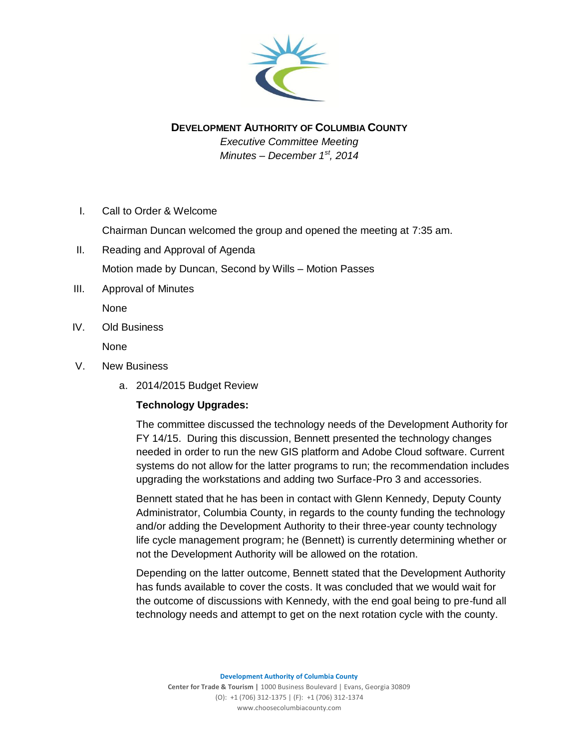

## **DEVELOPMENT AUTHORITY OF COLUMBIA COUNTY**

*Executive Committee Meeting Minutes – December 1st, 2014*

I. Call to Order & Welcome

Chairman Duncan welcomed the group and opened the meeting at 7:35 am.

- II. Reading and Approval of Agenda Motion made by Duncan, Second by Wills – Motion Passes
- III. Approval of Minutes

None

IV. Old Business

None

- V. New Business
	- a. 2014/2015 Budget Review

### **Technology Upgrades:**

The committee discussed the technology needs of the Development Authority for FY 14/15. During this discussion, Bennett presented the technology changes needed in order to run the new GIS platform and Adobe Cloud software. Current systems do not allow for the latter programs to run; the recommendation includes upgrading the workstations and adding two Surface-Pro 3 and accessories.

Bennett stated that he has been in contact with Glenn Kennedy, Deputy County Administrator, Columbia County, in regards to the county funding the technology and/or adding the Development Authority to their three-year county technology life cycle management program; he (Bennett) is currently determining whether or not the Development Authority will be allowed on the rotation.

Depending on the latter outcome, Bennett stated that the Development Authority has funds available to cover the costs. It was concluded that we would wait for the outcome of discussions with Kennedy, with the end goal being to pre-fund all technology needs and attempt to get on the next rotation cycle with the county.